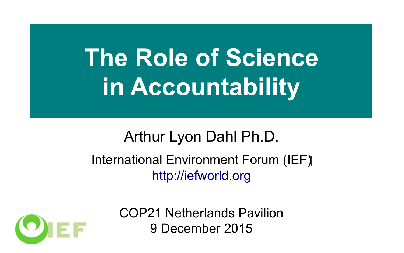# **The Role of Science in Accountability**

#### Arthur Lyon Dahl Ph.D. International Environment Forum (IEF) http://iefworld.org



COP21 Netherlands Pavilion 9 December 2015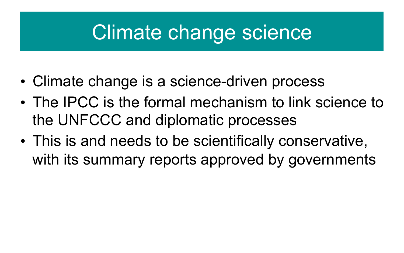## Climate change science

- Climate change is a science-driven process
- The IPCC is the formal mechanism to link science to the UNFCCC and diplomatic processes
- This is and needs to be scientifically conservative, with its summary reports approved by governments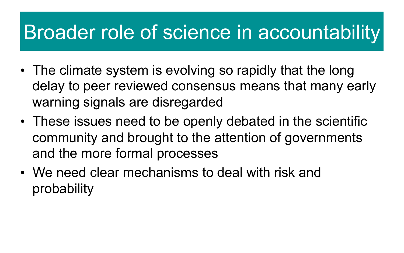### Broader role of science in accountability

- The climate system is evolving so rapidly that the long delay to peer reviewed consensus means that many early warning signals are disregarded
- These issues need to be openly debated in the scientific community and brought to the attention of governments and the more formal processes
- We need clear mechanisms to deal with risk and probability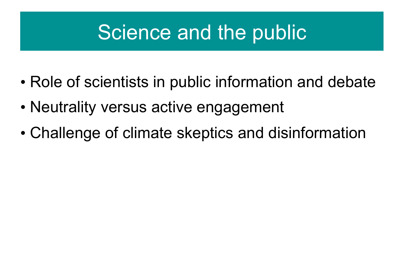# Science and the public

- Role of scientists in public information and debate
- Neutrality versus active engagement
- Challenge of climate skeptics and disinformation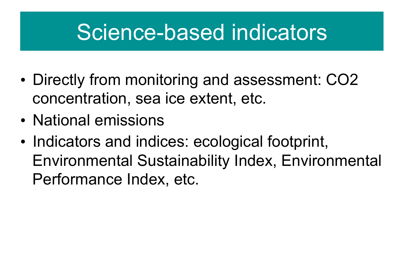# Science-based indicators

- Directly from monitoring and assessment: CO2 concentration, sea ice extent, etc.
- National emissions
- Indicators and indices: ecological footprint, Environmental Sustainability Index, Environmental Performance Index, etc.